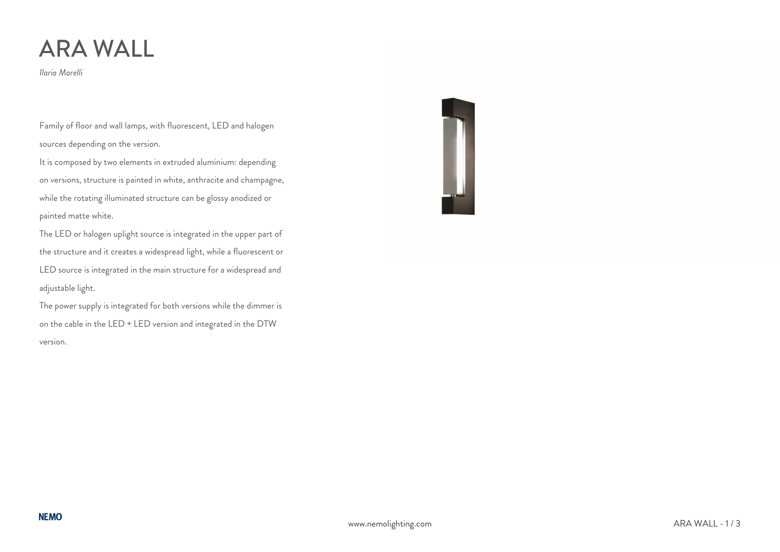# ARA WALL

*Ilaria Marelli*

Family of floor and wall lamps, with fluorescent, LED and halogen sources depending on the version.

It is composed by two elements in extruded aluminium: depending on versions, structure is painted in white, anthracite and champagne, while the rotating illuminated structure can be glossy anodized or painted matte white.

The LED or halogen uplight source is integrated in the upper part of the structure and it creates a widespread light, while a fluorescent or LED source is integrated in the main structure for a widespread and adjustable light.

The power supply is integrated for both versions while the dimmer is on the cable in the LED + LED version and integrated in the DTW version.

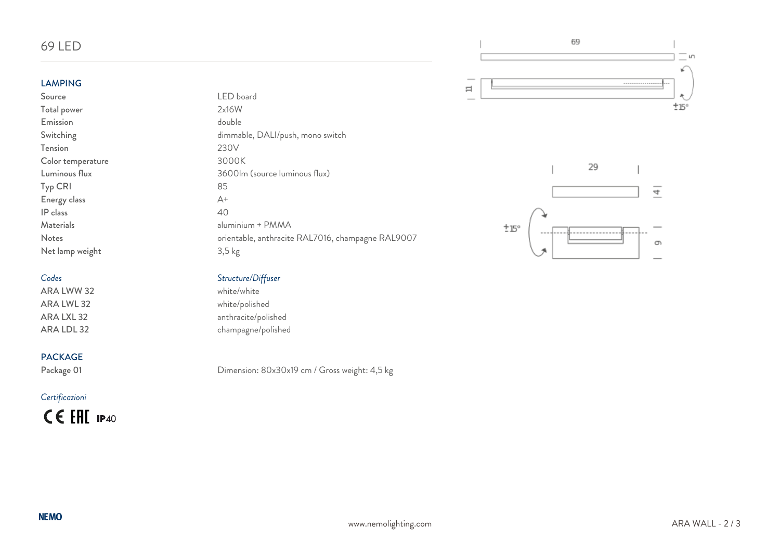# 69 LED

# LAMPING<br>Source

Total power Emission double Tension 230V<br>Color temperature 2000K Color temperature Typ CRI 85 Energy class A+ IP class 40 Materials aluminium + PMMA Net lamp weight 3,5 kg

ARA LWW 32 ARA LWL 32 white/polished<br>ARA LXL 32 anthracite/polis

### PACKAGE

### *Certificazioni*

CE EHI IP40

LED board<br>2x16W Switching dimmable, DALI/push, mono switch Luminous flux 3600lm (source luminous flux) Notes orientable, anthracite RAL7016, champagne RAL9007





# *Codes Structure/Diffuser*

anthracite/polished ARA LDL 32 champagne/polished

Package 01 Dimension: 80x30x19 cm / Gross weight: 4,5 kg